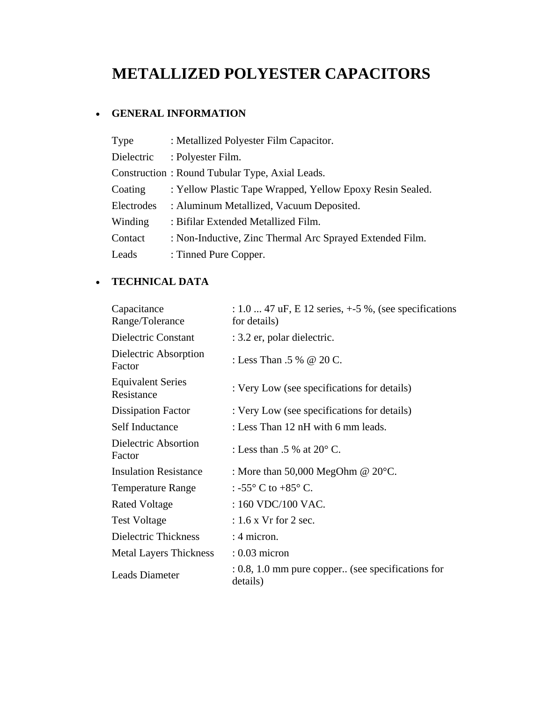# **METALLIZED POLYESTER CAPACITORS**

## • **GENERAL INFORMATION**

| Type       | : Metallized Polyester Film Capacitor.                    |
|------------|-----------------------------------------------------------|
| Dielectric | : Polyester Film.                                         |
|            | Construction: Round Tubular Type, Axial Leads.            |
| Coating    | : Yellow Plastic Tape Wrapped, Yellow Epoxy Resin Sealed. |
| Electrodes | : Aluminum Metallized, Vacuum Deposited.                  |
| Winding    | : Bifilar Extended Metallized Film.                       |
| Contact    | : Non-Inductive, Zinc Thermal Arc Sprayed Extended Film.  |
| Leads      | : Tinned Pure Copper.                                     |

# • **TECHNICAL DATA**

| Capacitance<br>Range/Tolerance         | : $1.0$ 47 uF, E 12 series, $+5\%$ , (see specifications<br>for details) |  |  |
|----------------------------------------|--------------------------------------------------------------------------|--|--|
| Dielectric Constant                    | : 3.2 er, polar dielectric.                                              |  |  |
| Dielectric Absorption<br>Factor        | : Less Than .5 % $\omega$ 20 C.                                          |  |  |
| <b>Equivalent Series</b><br>Resistance | : Very Low (see specifications for details)                              |  |  |
| <b>Dissipation Factor</b>              | : Very Low (see specifications for details)                              |  |  |
| Self Inductance                        | : Less Than 12 nH with 6 mm leads.                                       |  |  |
| Dielectric Absortion<br>Factor         | : Less than .5 % at $20^{\circ}$ C.                                      |  |  |
| <b>Insulation Resistance</b>           | : More than 50,000 MegOhm $@$ 20 $°C$ .                                  |  |  |
| <b>Temperature Range</b>               | : -55 $^{\circ}$ C to +85 $^{\circ}$ C.                                  |  |  |
| <b>Rated Voltage</b>                   | : 160 VDC/100 VAC.                                                       |  |  |
| <b>Test Voltage</b>                    | $: 1.6$ x Vr for 2 sec.                                                  |  |  |
| Dielectric Thickness                   | : 4 micron.                                                              |  |  |
| <b>Metal Layers Thickness</b>          | $: 0.03$ micron                                                          |  |  |
| Leads Diameter                         | $\therefore$ 0.8, 1.0 mm pure copper (see specifications for<br>details) |  |  |